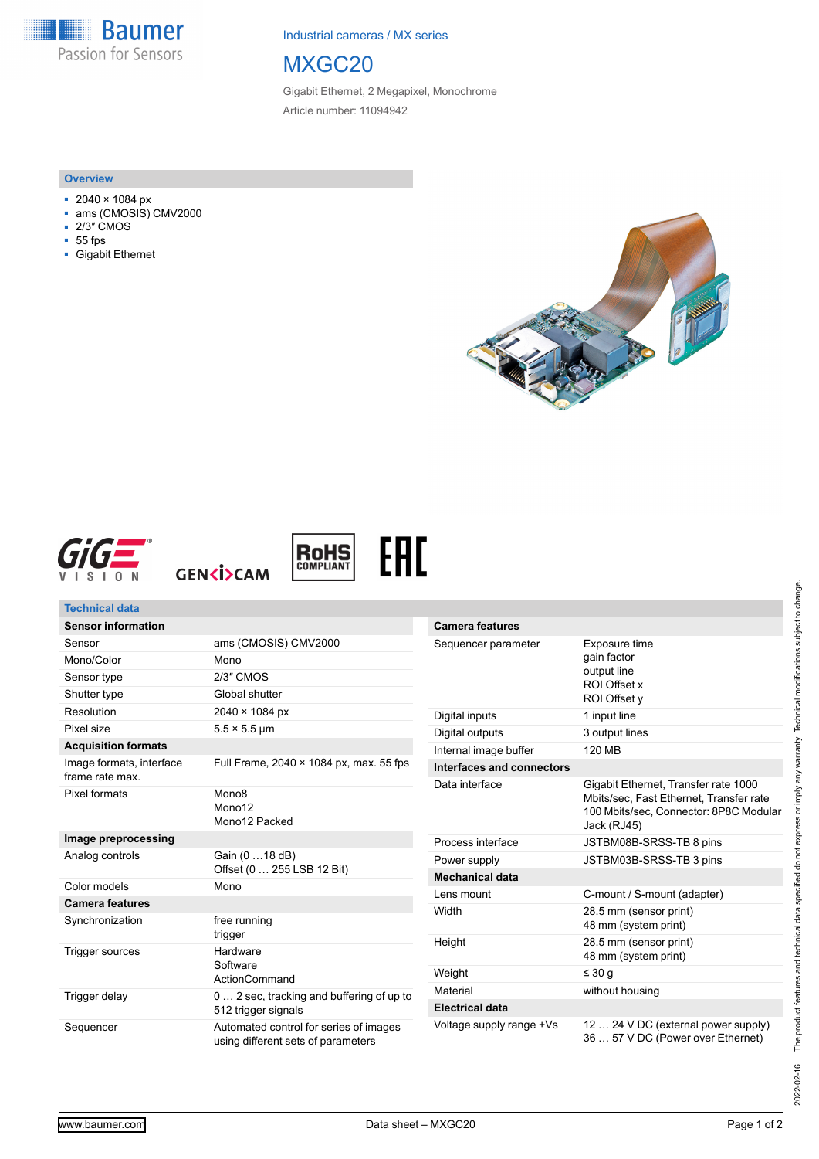**Baumer** Passion for Sensors

Industrial cameras / MX series

# MXGC20

Gigabit Ethernet, 2 Megapixel, Monochrome Article number: 11094942

#### **Overview**

- 2040 × 1084 px
- ams (CMOSIS) CMV2000
- 2/3″ CMOS
- 55 fps
- Gigabit Ethernet











| <b>Technical data</b>                       |                                                                              |                           |                                                                                                                                          |
|---------------------------------------------|------------------------------------------------------------------------------|---------------------------|------------------------------------------------------------------------------------------------------------------------------------------|
| <b>Sensor information</b>                   |                                                                              | <b>Camera features</b>    |                                                                                                                                          |
| Sensor                                      | ams (CMOSIS) CMV2000                                                         | Sequencer parameter       | Exposure time<br>gain factor<br>output line<br>ROI Offset x<br>ROI Offset y                                                              |
| Mono/Color                                  | Mono                                                                         |                           |                                                                                                                                          |
| Sensor type                                 | 2/3" CMOS                                                                    |                           |                                                                                                                                          |
| Shutter type                                | Global shutter                                                               |                           |                                                                                                                                          |
| Resolution                                  | 2040 × 1084 px                                                               | Digital inputs            | 1 input line                                                                                                                             |
| Pixel size                                  | $5.5 \times 5.5$ µm                                                          | Digital outputs           | 3 output lines                                                                                                                           |
| <b>Acquisition formats</b>                  |                                                                              | Internal image buffer     | 120 MB                                                                                                                                   |
| Image formats, interface<br>frame rate max. | Full Frame, 2040 × 1084 px, max. 55 fps                                      | Interfaces and connectors |                                                                                                                                          |
| <b>Pixel formats</b>                        | Mono <sub>8</sub><br>Mono12<br>Mono12 Packed                                 | Data interface            | Gigabit Ethernet, Transfer rate 1000<br>Mbits/sec, Fast Ethernet, Transfer rate<br>100 Mbits/sec, Connector: 8P8C Modular<br>Jack (RJ45) |
| Image preprocessing                         |                                                                              | Process interface         | JSTBM08B-SRSS-TB 8 pins                                                                                                                  |
| Analog controls                             | Gain (0  18 dB)<br>Offset (0  255 LSB 12 Bit)                                | Power supply              | JSTBM03B-SRSS-TB 3 pins                                                                                                                  |
|                                             |                                                                              | <b>Mechanical data</b>    |                                                                                                                                          |
| Color models                                | Mono                                                                         | Lens mount                | C-mount / S-mount (adapter)                                                                                                              |
| <b>Camera features</b><br>Synchronization   | free running                                                                 | Width                     | 28.5 mm (sensor print)<br>48 mm (system print)                                                                                           |
| Trigger sources                             | trigger<br>Hardware<br>Software<br>ActionCommand                             | Height                    | 28.5 mm (sensor print)<br>48 mm (system print)                                                                                           |
|                                             |                                                                              | Weight                    | $\leq 30$ q                                                                                                                              |
| Trigger delay                               | 0  2 sec, tracking and buffering of up to<br>512 trigger signals             | Material                  | without housing                                                                                                                          |
|                                             |                                                                              | <b>Electrical data</b>    |                                                                                                                                          |
| Sequencer                                   | Automated control for series of images<br>using different sets of parameters | Voltage supply range +Vs  | 12  24 V DC (external power supply)<br>36  57 V DC (Power over Ethernet)                                                                 |